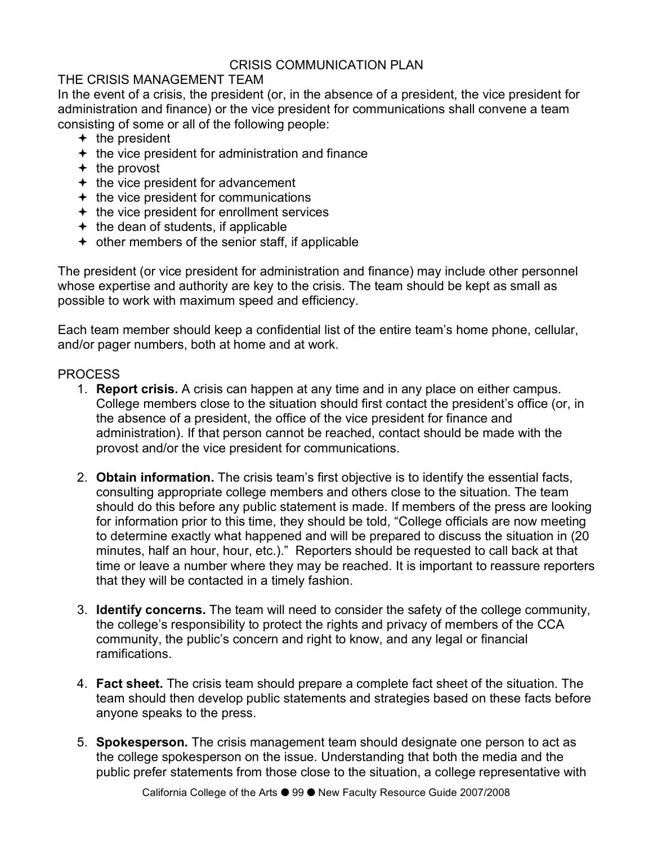## CRISIS COMMUNICATION PLAN

## THE CRISIS MANAGEMENT TEAM

In the event of a crisis, the president (or, in the absence of a president, the vice president for administration and finance) or the vice president for communications shall convene a team consisting of some or all of the following people:

- $+$  the president
- $+$  the vice president for administration and finance
- $+$  the provost
- $\div$  the vice president for advancement
- $+$  the vice president for communications
- $+$  the vice president for enrollment services
- $\div$  the dean of students, if applicable
- $\div$  other members of the senior staff, if applicable

The president (or vice president for administration and finance) may include other personnel whose expertise and authority are key to the crisis. The team should be kept as small as possible to work with maximum speed and efficiency.

Each team member should keep a confidential list of the entire team's home phone, cellular, and/or pager numbers, both at home and at work.

## PROCESS

- 1. **Report crisis.** A crisis can happen at any time and in any place on either campus. College members close to the situation should first contact the president's office (or, in the absence of a president, the office of the vice president for finance and administration). If that person cannot be reached, contact should be made with the provost and/or the vice president for communications.
- 2. **Obtain information.** The crisis team's first objective is to identify the essential facts, consulting appropriate college members and others close to the situation. The team should do this before any public statement is made. If members of the press are looking for information prior to this time, they should be told, "College officials are now meeting to determine exactly what happened and will be prepared to discuss the situation in (20 minutes, half an hour, hour, etc.)." Reporters should be requested to call back at that time or leave a number where they may be reached. It is important to reassure reporters that they will be contacted in a timely fashion.
- 3. **Identify concerns.** The team will need to consider the safety of the college community, the college's responsibility to protect the rights and privacy of members of the CCA community, the public's concern and right to know, and any legal or financial ramifications.
- 4. **Fact sheet.** The crisis team should prepare a complete fact sheet of the situation. The team should then develop public statements and strategies based on these facts before anyone speaks to the press.
- 5. **Spokesperson.** The crisis management team should designate one person to act as the college spokesperson on the issue. Understanding that both the media and the public prefer statements from those close to the situation, a college representative with